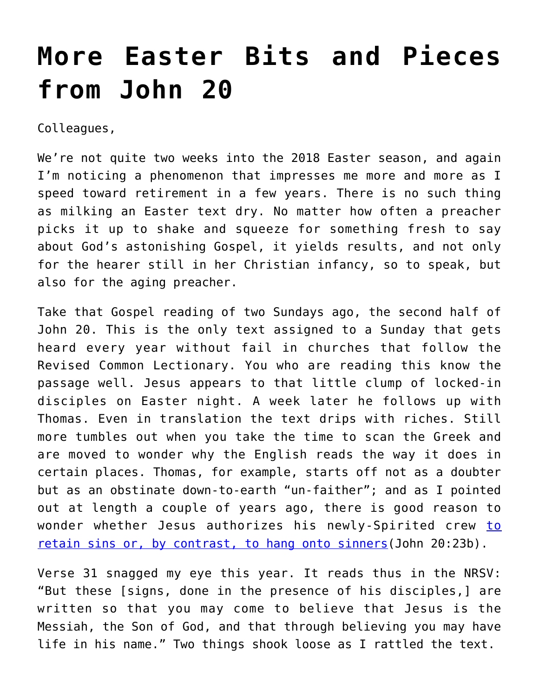## **[More Easter Bits and Pieces](https://crossings.org/more-easter-bits-and-pieces-from-john-20/) [from John 20](https://crossings.org/more-easter-bits-and-pieces-from-john-20/)**

Colleagues,

We're not quite two weeks into the 2018 Easter season, and again I'm noticing a phenomenon that impresses me more and more as I speed toward retirement in a few years. There is no such thing as milking an Easter text dry. No matter how often a preacher picks it up to shake and squeeze for something fresh to say about God's astonishing Gospel, it yields results, and not only for the hearer still in her Christian infancy, so to speak, but also for the aging preacher.

Take that Gospel reading of two Sundays ago, the second half of John 20. This is the only text assigned to a Sunday that gets heard every year without fail in churches that follow the Revised Common Lectionary. You who are reading this know the passage well. Jesus appears to that little clump of locked-in disciples on Easter night. A week later he follows up with Thomas. Even in translation the text drips with riches. Still more tumbles out when you take the time to scan the Greek and are moved to wonder why the English reads the way it does in certain places. Thomas, for example, starts off not as a doubter but as an obstinate down-to-earth "un-faither"; and as I pointed out at length a couple of years ago, there is good reason to wonder whether Jesus authorizes his newly-Spirited crew [to](https://crossings.org/easter-leftovers-especially-a-nagging-question-about-john-2023/) [retain sins or, by contrast, to hang onto sinners\(](https://crossings.org/easter-leftovers-especially-a-nagging-question-about-john-2023/)John 20:23b).

Verse 31 snagged my eye this year. It reads thus in the NRSV: "But these [signs, done in the presence of his disciples,] are written so that you may come to believe that Jesus is the Messiah, the Son of God, and that through believing you may have life in his name." Two things shook loose as I rattled the text.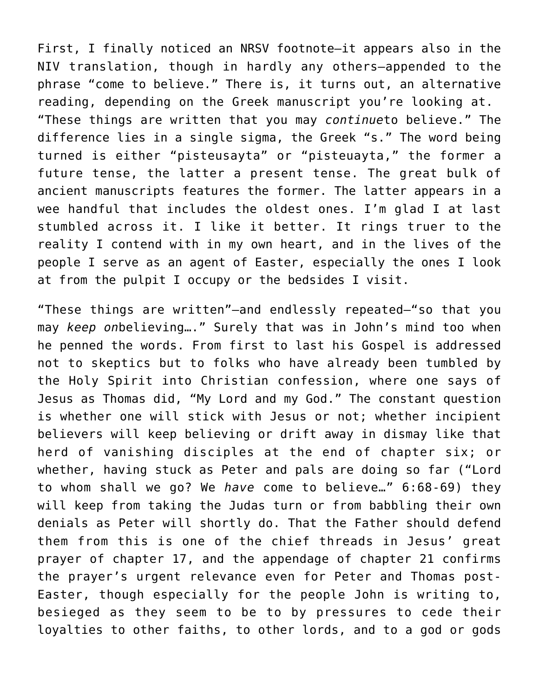First, I finally noticed an NRSV footnote—it appears also in the NIV translation, though in hardly any others—appended to the phrase "come to believe." There is, it turns out, an alternative reading, depending on the Greek manuscript you're looking at. "These things are written that you may *continue*to believe." The difference lies in a single sigma, the Greek "s." The word being turned is either "pisteusayta" or "pisteuayta," the former a future tense, the latter a present tense. The great bulk of ancient manuscripts features the former. The latter appears in a wee handful that includes the oldest ones. I'm glad I at last stumbled across it. I like it better. It rings truer to the reality I contend with in my own heart, and in the lives of the people I serve as an agent of Easter, especially the ones I look at from the pulpit I occupy or the bedsides I visit.

"These things are written"—and endlessly repeated—"so that you may *keep on*believing…." Surely that was in John's mind too when he penned the words. From first to last his Gospel is addressed not to skeptics but to folks who have already been tumbled by the Holy Spirit into Christian confession, where one says of Jesus as Thomas did, "My Lord and my God." The constant question is whether one will stick with Jesus or not; whether incipient believers will keep believing or drift away in dismay like that herd of vanishing disciples at the end of chapter six; or whether, having stuck as Peter and pals are doing so far ("Lord to whom shall we go? We *have* come to believe…" 6:68-69) they will keep from taking the Judas turn or from babbling their own denials as Peter will shortly do. That the Father should defend them from this is one of the chief threads in Jesus' great prayer of chapter 17, and the appendage of chapter 21 confirms the prayer's urgent relevance even for Peter and Thomas post-Easter, though especially for the people John is writing to, besieged as they seem to be to by pressures to cede their loyalties to other faiths, to other lords, and to a god or gods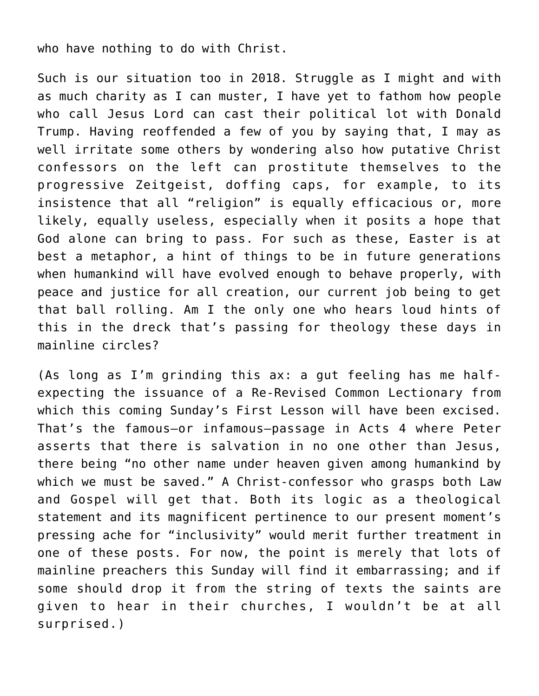who have nothing to do with Christ.

Such is our situation too in 2018. Struggle as I might and with as much charity as I can muster, I have yet to fathom how people who call Jesus Lord can cast their political lot with Donald Trump. Having reoffended a few of you by saying that, I may as well irritate some others by wondering also how putative Christ confessors on the left can prostitute themselves to the progressive Zeitgeist, doffing caps, for example, to its insistence that all "religion" is equally efficacious or, more likely, equally useless, especially when it posits a hope that God alone can bring to pass. For such as these, Easter is at best a metaphor, a hint of things to be in future generations when humankind will have evolved enough to behave properly, with peace and justice for all creation, our current job being to get that ball rolling. Am I the only one who hears loud hints of this in the dreck that's passing for theology these days in mainline circles?

(As long as I'm grinding this ax: a gut feeling has me halfexpecting the issuance of a Re-Revised Common Lectionary from which this coming Sunday's First Lesson will have been excised. That's the famous—or infamous—passage in Acts 4 where Peter asserts that there is salvation in no one other than Jesus, there being "no other name under heaven given among humankind by which we must be saved." A Christ-confessor who grasps both Law and Gospel will get that. Both its logic as a theological statement and its magnificent pertinence to our present moment's pressing ache for "inclusivity" would merit further treatment in one of these posts. For now, the point is merely that lots of mainline preachers this Sunday will find it embarrassing; and if some should drop it from the string of texts the saints are given to hear in their churches, I wouldn't be at all surprised.)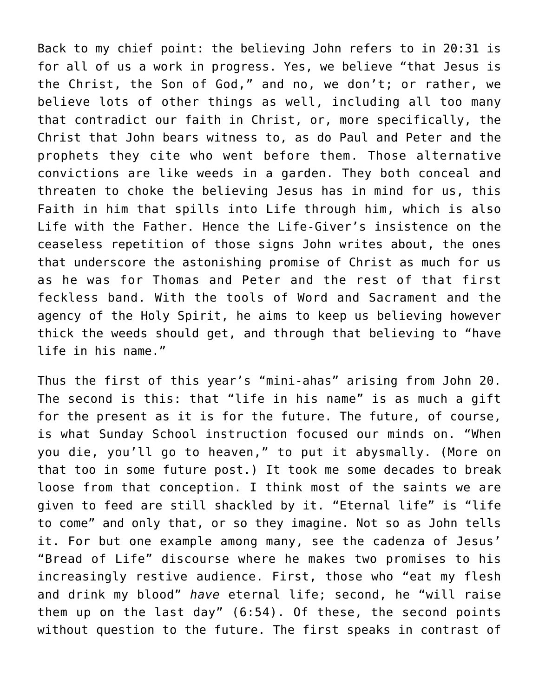Back to my chief point: the believing John refers to in 20:31 is for all of us a work in progress. Yes, we believe "that Jesus is the Christ, the Son of God," and no, we don't; or rather, we believe lots of other things as well, including all too many that contradict our faith in Christ, or, more specifically, the Christ that John bears witness to, as do Paul and Peter and the prophets they cite who went before them. Those alternative convictions are like weeds in a garden. They both conceal and threaten to choke the believing Jesus has in mind for us, this Faith in him that spills into Life through him, which is also Life with the Father. Hence the Life-Giver's insistence on the ceaseless repetition of those signs John writes about, the ones that underscore the astonishing promise of Christ as much for us as he was for Thomas and Peter and the rest of that first feckless band. With the tools of Word and Sacrament and the agency of the Holy Spirit, he aims to keep us believing however thick the weeds should get, and through that believing to "have life in his name."

Thus the first of this year's "mini-ahas" arising from John 20. The second is this: that "life in his name" is as much a gift for the present as it is for the future. The future, of course, is what Sunday School instruction focused our minds on. "When you die, you'll go to heaven," to put it abysmally. (More on that too in some future post.) It took me some decades to break loose from that conception. I think most of the saints we are given to feed are still shackled by it. "Eternal life" is "life to come" and only that, or so they imagine. Not so as John tells it. For but one example among many, see the cadenza of Jesus' "Bread of Life" discourse where he makes two promises to his increasingly restive audience. First, those who "eat my flesh and drink my blood" *have* eternal life; second, he "will raise them up on the last day" (6:54). Of these, the second points without question to the future. The first speaks in contrast of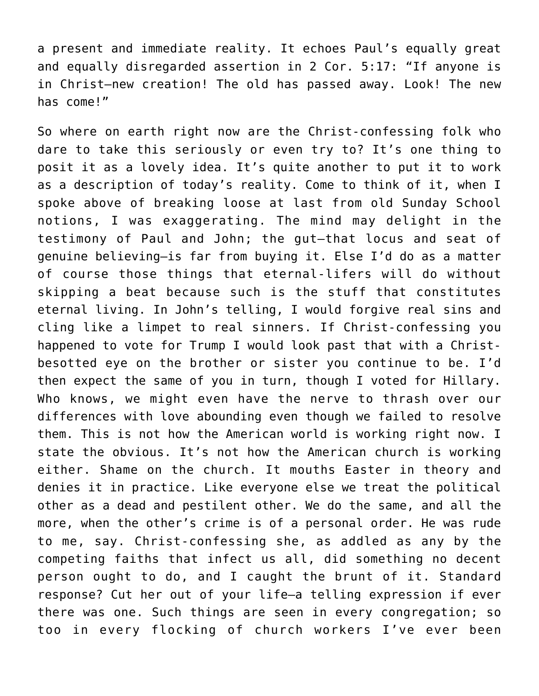a present and immediate reality. It echoes Paul's equally great and equally disregarded assertion in 2 Cor. 5:17: "If anyone is in Christ—new creation! The old has passed away. Look! The new has come!"

So where on earth right now are the Christ-confessing folk who dare to take this seriously or even try to? It's one thing to posit it as a lovely idea. It's quite another to put it to work as a description of today's reality. Come to think of it, when I spoke above of breaking loose at last from old Sunday School notions, I was exaggerating. The mind may delight in the testimony of Paul and John; the gut—that locus and seat of genuine believing—is far from buying it. Else I'd do as a matter of course those things that eternal-lifers will do without skipping a beat because such is the stuff that constitutes eternal living. In John's telling, I would forgive real sins and cling like a limpet to real sinners. If Christ-confessing you happened to vote for Trump I would look past that with a Christbesotted eye on the brother or sister you continue to be. I'd then expect the same of you in turn, though I voted for Hillary. Who knows, we might even have the nerve to thrash over our differences with love abounding even though we failed to resolve them. This is not how the American world is working right now. I state the obvious. It's not how the American church is working either. Shame on the church. It mouths Easter in theory and denies it in practice. Like everyone else we treat the political other as a dead and pestilent other. We do the same, and all the more, when the other's crime is of a personal order. He was rude to me, say. Christ-confessing she, as addled as any by the competing faiths that infect us all, did something no decent person ought to do, and I caught the brunt of it. Standard response? Cut her out of your life—a telling expression if ever there was one. Such things are seen in every congregation; so too in every flocking of church workers I've ever been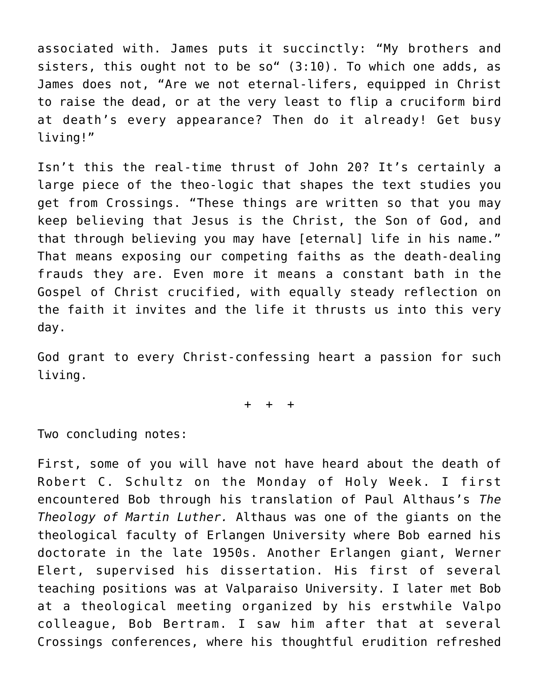associated with. James puts it succinctly: "My brothers and sisters, this ought not to be so"  $(3:10)$ . To which one adds, as James does not, "Are we not eternal-lifers, equipped in Christ to raise the dead, or at the very least to flip a cruciform bird at death's every appearance? Then do it already! Get busy living!"

Isn't this the real-time thrust of John 20? It's certainly a large piece of the theo-logic that shapes the text studies you get from Crossings. "These things are written so that you may keep believing that Jesus is the Christ, the Son of God, and that through believing you may have [eternal] life in his name." That means exposing our competing faiths as the death-dealing frauds they are. Even more it means a constant bath in the Gospel of Christ crucified, with equally steady reflection on the faith it invites and the life it thrusts us into this very day.

God grant to every Christ-confessing heart a passion for such living.

+ + +

Two concluding notes:

First, some of you will have not have heard about the death of Robert C. Schultz on the Monday of Holy Week. I first encountered Bob through his translation of Paul Althaus's *The Theology of Martin Luther.* Althaus was one of the giants on the theological faculty of Erlangen University where Bob earned his doctorate in the late 1950s. Another Erlangen giant, Werner Elert, supervised his dissertation. His first of several teaching positions was at Valparaiso University. I later met Bob at a theological meeting organized by his erstwhile Valpo colleague, Bob Bertram. I saw him after that at several Crossings conferences, where his thoughtful erudition refreshed